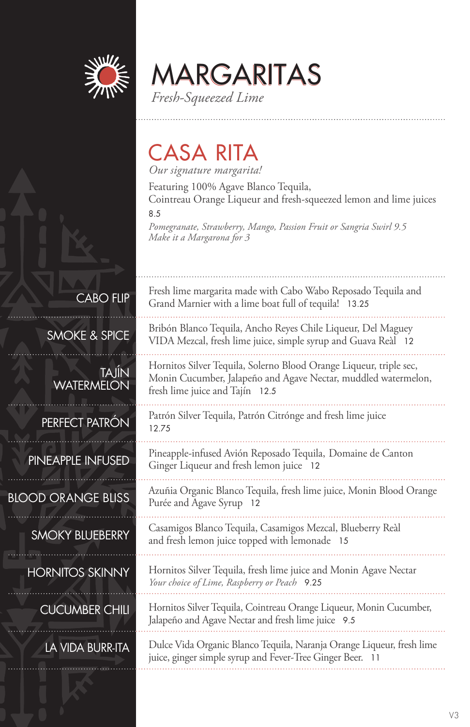

MARGARITAS *Fresh-Squeezed Lime*

### CASA RITA

*Our signature margarita!*

Featuring 100% Agave Blanco Tequila, Cointreau Orange Liqueur and fresh-squeezed lemon and lime juices

8.5

*Pomegranate, Strawberry, Mango, Passion Fruit or Sangria Swirl 9.5 Make it a Margarona for 3*

CABO FLIP

SMOKE & SPICE

TAJÍN **WATERMELON** 

PERFECT PATRÓN

PINEAPPLE INFUSED

BLOOD ORANGE BLISS

SMOKY BLUEBERRY

HORNITOS SKINNY

CUCUMBER CHILI

LA VIDA BURR-ITA

Fresh lime margarita made with Cabo Wabo Reposado Tequila and Grand Marnier with a lime boat full of tequila! 13.25

Bribón Blanco Tequila, Ancho Reyes Chile Liqueur, Del Maguey VIDA Mezcal, fresh lime juice, simple syrup and Guava Reàl 12

Hornitos Silver Tequila, Solerno Blood Orange Liqueur, triple sec, Monin Cucumber, Jalapeño and Agave Nectar, muddled watermelon, fresh lime juice and Tajín 12.5

Patrón Silver Tequila, Patrón Citrónge and fresh lime juice 12.75

Pineapple-infused Avión Reposado Tequila, Domaine de Canton Ginger Liqueur and fresh lemon juice 12

Azuñia Organic Blanco Tequila, fresh lime juice, Monin Blood Orange Purée and Agave Syrup 12

Casamigos Blanco Tequila, Casamigos Mezcal, Blueberry Reàl and fresh lemon juice topped with lemonade 15

Hornitos Silver Tequila, fresh lime juice and Monin Agave Nectar *Your choice of Lime, Raspberry or Peach* 9.25

Hornitos Silver Tequila, Cointreau Orange Liqueur, Monin Cucumber, Jalapeño and Agave Nectar and fresh lime juice 9.5

Dulce Vida Organic Blanco Tequila, Naranja Orange Liqueur, fresh lime juice, ginger simple syrup and Fever-Tree Ginger Beer. 11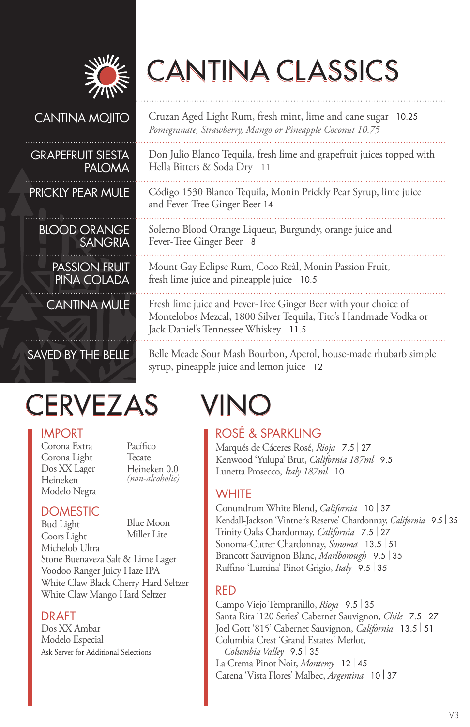

# CANTINA CLASSICS

#### CANTINA MOJITO

#### GRAPEFRUIT SIESTA PALOMA

PRICKLY PEAR MULE

BLOOD ORANGE SANGRIA

PASSION FRUIT PINA COLADA

CANTINA MULE

### SAVED BY THE BELLE

# CERVEZAS VINO

#### IMPORT

Corona Extra Corona Light Dos XX Lager Heineken Modelo Negra

Pacífico Tecate Heineken 0.0 *(non-alcoholic)*

#### **DOMESTIC**

Bud Light Coors Light Blue Moon Miller Lite

Michelob Ultra Stone Buenaveza Salt & Lime Lager Voodoo Ranger Juicy Haze IPA White Claw Black Cherry Hard Seltzer White Claw Mango Hard Seltzer

#### DRAFT

Dos XX Ambar Modelo Especial Ask Server for Additional Selections

Cruzan Aged Light Rum, fresh mint, lime and cane sugar 10.25 *Pomegranate, Strawberry, Mango or Pineapple Coconut 10.75*

Don Julio Blanco Tequila, fresh lime and grapefruit juices topped with Hella Bitters & Soda Dry 11

Código 1530 Blanco Tequila, Monin Prickly Pear Syrup, lime juice and Fever-Tree Ginger Beer 14

Solerno Blood Orange Liqueur, Burgundy, orange juice and Fever-Tree Ginger Beer 8

Mount Gay Eclipse Rum, Coco Reàl, Monin Passion Fruit, fresh lime juice and pineapple juice 10.5

Fresh lime juice and Fever-Tree Ginger Beer with your choice of Montelobos Mezcal, 1800 Silver Tequila, Tito's Handmade Vodka or Jack Daniel's Tennessee Whiskey 11.5

Belle Meade Sour Mash Bourbon, Aperol, house-made rhubarb simple syrup, pineapple juice and lemon juice 12

#### ROSÉ & SPARKLING

Marqués de Cáceres Rosé, *Rioja* 7.5 | <sup>27</sup> Kenwood 'Yulupa' Brut, *California 187ml* 9.5 Lunetta Prosecco, *Italy 187ml* 10

#### **WHITE**

Conundrum White Blend, *California* <sup>10</sup>| <sup>37</sup> Kendall-Jackson 'Vintner's Reserve' Chardonnay, *California* 9.5 | <sup>35</sup> Trinity Oaks Chardonnay, *California* 7.5 | <sup>27</sup> Sonoma-Cutrer Chardonnay, *Sonoma* 13.5 | <sup>51</sup> Brancott Sauvignon Blanc, *Marlborough* 9.5 | <sup>35</sup> Ruffino 'Lumina' Pinot Grigio, *Italy* 9.5 | <sup>35</sup>

#### RED

Campo Viejo Tempranillo, *Rioja* 9.5 | <sup>35</sup> Santa Rita '120 Series' Cabernet Sauvignon, *Chile* 7.5 | <sup>27</sup> Joel Gott '815' Cabernet Sauvignon, *California* 13.5 | <sup>51</sup> Columbia Crest 'Grand Estates' Merlot, *Columbia Valley* 9.5 | <sup>35</sup> La Crema Pinot Noir, *Monterey* <sup>12</sup>| <sup>45</sup> Catena 'Vista Flores' Malbec, *Argentina* <sup>10</sup>| <sup>37</sup>